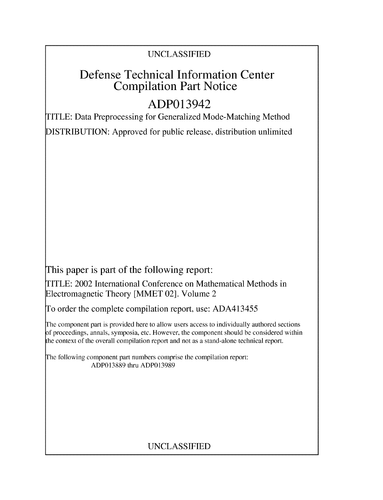## UNCLASSIFIED

# Defense Technical Information Center Compilation Part Notice

# ADP013942

TITLE: Data Preprocessing for Generalized Mode-Matching Method

DISTRIBUTION: Approved for public release, distribution unlimited

This paper is part of the following report:

TITLE: 2002 International Conference on Mathematical Methods in Electromagnetic Theory [MMET 02]. Volume 2

To order the complete compilation report, use: ADA413455

The component part is provided here to allow users access to individually authored sections f proceedings, annals, symposia, etc. However, the component should be considered within the context of the overall compilation report and not as a stand-alone technical report.

The following component part numbers comprise the compilation report: ADP013889 thru ADP013989

## UNCLASSIFIED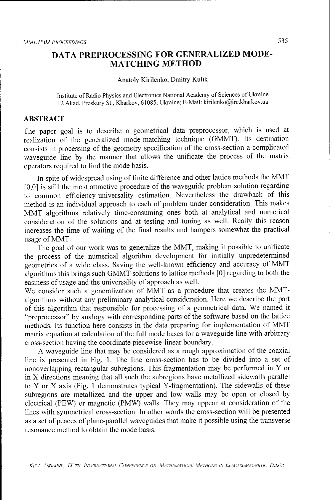## **DATA** PREPROCESSING FOR **GENERALIZED** MODE-**MATCHING** METHOD

#### Anatoly Kirilenko, Dmitry Kulik

Institute of Radio Physics and Electronics National Academy of Sciences of Ukraine 12 Akad. Proskury St., Kharkov, 61085, Ukraine; E-Mail: kirilenko@ire.kharkov.ua

### ABSTRACT

The paper goal is to describe a geometrical data preprocessor, which is used at realization of the generalized mode-matching technique (GMMT). Its destination consists in processing of the geometry specification of the cross-section a complicated waveguide line by the manner that allows the unificate the process of the matrix operators required to find the mode basis.

In spite of widespread using of finite difference and other lattice methods the MMT [0,0] is still the most attractive procedure of the waveguide problem solution regarding to common efficiency-universality estimation. Nevertheless the drawback of this method is an individual approach to each of problem under consideration. This makes MMT algorithms relatively time-consuming ones both at analytical and numerical consideration of the solutions and at testing and tuning as well. Really this reason increases the time of waiting of the final results and hampers somewhat the practical usage of MMT.

The goal of our work was to generalize the MMT, making it possible to unificate the process of the numerical algorithm development for initially unpredetermined geometries of a wide class. Saving the well-known efficiency and accuracy of MMT algorithms this brings such GMMT solutions to lattice methods [0] regarding to both the easiness of usage and the universality of approach as well.

We consider such a generalization of MMT as a procedure that creates the MMTalgorithms without any preliminary analytical consideration. Here we describe the part of this algorithm that responsible for processing of a geometrical data. We named it "preprocessor" by analogy with corresponding parts of the software based on the lattice methods. Its function here consists in the data preparing for implementation of MMT matrix equation at calculation of the full mode bases for a waveguide line with arbitrary cross-section having the coordinate piecewise-linear boundary.

A waveguide line that may be considered as a rough approximation of the coaxial line is presented in Fig. 1. The line cross-section has to be divided into a set of nonoverlapping rectangular subregions. This fragmentation may be performed in Y or in X directions meaning that all such the subregions have metallized sidewalls parallel to Y or X axis (Fig. 1 demonstrates typical Y-fragmentation). The sidewalls of these subregions are metallized and the upper and low walls may be open or closed by electrical (PEW) or magnetic (PMW) walls. They may appear at consideration of the lines with symmetrical cross-section. In other words the cross-section will be presented as a set of peaces of plane-parallel waveguides that make it possible using the transverse resonance method to obtain the mode basis.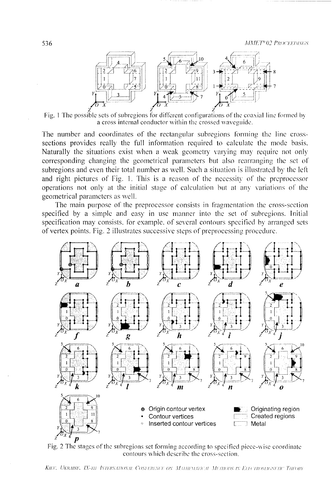

Fig. 1 The possible sets of subregions for different configurations of the coaxial line formed by a cross internal conductor within the crossed waveguide.

The number and coordinates of the rectangular subregions forming the line crosssections provides really the full information required to calculate the mode basis. Naturally the situations exist when a weak geometry varying may require not only corresponding changing the geometrical parameters but also rearranging the set of subregions and even their total number as well. Such a situation is illustrated by the left and right pictures of Fig. 1. This is a reason of the necessity of the preprocessor operations not only at the initial stage of calculation but at any variations of the geometrical parameters as well.

The main purpose of the preprocessor consists in fragmentation the cross-section specified by a simple and easy in use manner into the set of subregions. Initial specification may consists, for example, of several contours specified by arranged sets of vertex points. Fig. 2 illustrates successive steps of preprocessing procedure.



Fig. 2 The stages of the subregions set forming according to specified piece-wise coordinate contours which describe the cross-section.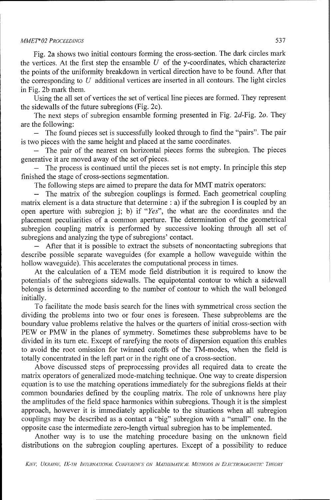### *MMET\* 02 PROCEEDINGS* 537

Fig. 2a shows two initial contours forming the cross-section. The dark circles mark the vertices. At the first step the ensamble  $U$  of the y-coordinates, which characterize the points of the uniformity breakdown in vertical direction have to be found. After that the corresponding to  $U$  additional vertices are inserted in all contours. The light circles in Fig. 2b mark them.

Using the all set of vertices the set of vertical line pieces are formed. They represent the sidewalls of the future subregions (Fig. 2c).

The next steps of subregion ensamble forming presented in Fig. 2d-Fig. 2o. They are the following:

- The found pieces set is successfully looked through to find the "pairs". The pair is two pieces with the same height and placed at the same coordinates.

The pair of the nearest on horizontal pieces forms the subregion. The pieces generative it are moved away of the set of pieces.

- The process is continued until the pieces set is not empty. In principle this step finished the stage of cross-sections segmentation.

The following steps are aimed to prepare the data for MMT matrix operators:

The matrix of the subregion couplings is formed. Each geometrical coupling matrix element is a data structure that determine : a) if the subregion I is coupled by an open aperture with subregion j; b) if *"Yes",* the what are the coordinates and the placement peculiarities of a common aperture. The determination of the geometrical subregion coupling matrix is performed by successive looking through all set of subregions and analyzing the type of subregions' contact.

After that it is possible to extract the subsets of noncontacting subregions that describe possible separate waveguides (for example a hollow waveguide within the hollow waveguide). This accelerates the computational process in times.

At the calculation of a TEM mode field distribution it is required to know the potentials of the subregions sidewalls. The equipotental contour to which a sidewall belongs is determined according to the number of contour to which the wall belonged initially.

To facilitate the mode basis search for the lines with symmetrical cross section the dividing the problems into two or four ones is foreseen. These subproblems are the boundary value problems relative the halves or the quarters of initial cross-section with PEW or PMW in the planes of symmetry. Sometimes these subproblems have to be divided in its turn etc. Except of rarefying the roots of dispersion equation this enables to avoid the root omission for twinned cutoffs of the TM-modes, when the field is totally concentrated in the left part or in the right one of a cross-section.

Above discussed steps of preprocessing provides all required data to create the matrix operators of generalized mode-matching technique. One way to create dispersion equation is to use the matching operations immediately for the subregions fields at their common boundaries defined by the coupling matrix. The role of unknowns here play the amplitudes of the field space harmonics within subregions. Though it is the simplest approach, however it is immediately applicable to the situations when all subregion couplings may be described as a contact a "big" subregion with a "small" one. In the opposite case the intermediate zero-length virtual subregion has to be implemented.

Another way is to use the matching procedure basing on the unknown field distributions on the subregion coupling apertures. Except of a possibility to reduce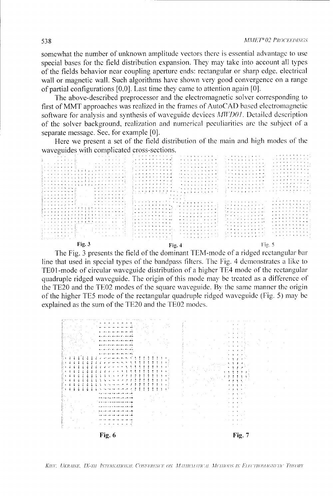somewhat the number of unknown amplitude vectors there is essential advantage to use special bases for the field distribution expansion. They may take into account all types of the fields behavior near coupling aperture ends: rectangular or sharp edge, electrical wall or magnetic wall. Such algorithms have shown very good convergence on a range of partial configurations  $[0,0]$ . Last time they came to attention again  $[0]$ .

The above-described preprocessor and the electromagnetic solver corresponding to first of MMT approaches was realized in the frames of AutoCAD based electromagnetic software for analysis and synthesis of waveguide devices MWD01. Detailed description of the solver background, realization and numerical peculiarities are the subject of a separate message. See, for example [0].

Here we present a set of the field distribution of the main and high modes of the waveguides with complicated cross-sections.

| $\Gamma$ ia 3                                                                                                                                                                                                                                                                                                |                                                                                                                                                                                                                                                                                                                                                                                                                                                                                                                                                                                                                                                                                                                         | $127.6 \times 5$                                                                                                                                                                                                                                                                                                                                                                                                                                                                        |
|--------------------------------------------------------------------------------------------------------------------------------------------------------------------------------------------------------------------------------------------------------------------------------------------------------------|-------------------------------------------------------------------------------------------------------------------------------------------------------------------------------------------------------------------------------------------------------------------------------------------------------------------------------------------------------------------------------------------------------------------------------------------------------------------------------------------------------------------------------------------------------------------------------------------------------------------------------------------------------------------------------------------------------------------------|-----------------------------------------------------------------------------------------------------------------------------------------------------------------------------------------------------------------------------------------------------------------------------------------------------------------------------------------------------------------------------------------------------------------------------------------------------------------------------------------|
| 言えれい かいかいせい ハード                                                                                                                                                                                                                                                                                              | $\frac{1}{2}$ . The set of the set of the set of the set of the set of the set of the set of the set of the set of the set of the set of the set of the set of the set of the set of the set of the set of the set of the set of<br>and the property of the control of                                                                                                                                                                                                                                                                                                                                                                                                                                                  |                                                                                                                                                                                                                                                                                                                                                                                                                                                                                         |
| The process of the company of the second company<br>. 7                                                                                                                                                                                                                                                      | the second control of the second con-<br>.                                                                                                                                                                                                                                                                                                                                                                                                                                                                                                                                                                                                                                                                              | Simple and a sample of the state of the<br>the property of the first property<br>and the state of the state of the state                                                                                                                                                                                                                                                                                                                                                                |
| أتوارث والمتعارف والمتعارض والمتعارض<br>the company of the company of the company of the company of the company of the company of the company of the company of the company of the company of the company of the company of the company of the company of the company                                        | 医乳头 机火火 机火火火火火火火火<br>.                                                                                                                                                                                                                                                                                                                                                                                                                                                                                                                                                                                                                                                                                                  | e e vizione vez e e e el<br>and the second control of the second                                                                                                                                                                                                                                                                                                                                                                                                                        |
| . <b>.</b> 1                                                                                                                                                                                                                                                                                                 | the company of the company of the company of the company of the company of the company of the company of the company of the company of the company of the company of the company of the company of the company of the company                                                                                                                                                                                                                                                                                                                                                                                                                                                                                           | in a brainn ann an a-mh<br>and the state of the state of the state of the state of the state of the state of the state of the state of the state of the state of the state of the state of the state of the state of the state of the state of the state                                                                                                                                                                                                                                |
| in a construction of the second construction of the construction of the construction of the construction of the construction of the construction of the construction of the construction of the construction of the constructi                                                                               | <b>Daniel Allen A. P. P. P. M. W. W. L.</b><br>the second company of the second                                                                                                                                                                                                                                                                                                                                                                                                                                                                                                                                                                                                                                         | المحاملة والمستوار والمستور والمستحدث<br>$\mathcal{L}$ , we can be defined by the contribution of $\mathcal{L}$                                                                                                                                                                                                                                                                                                                                                                         |
|                                                                                                                                                                                                                                                                                                              | ) and a second contract of the second second $\mathcal{L}_\mathbf{X}$                                                                                                                                                                                                                                                                                                                                                                                                                                                                                                                                                                                                                                                   | the contract of the contract of the contract of<br>$\mathcal{L}_\mathcal{A} = \{ \mathcal{A} \mid \mathcal{A} \in \mathcal{A} \mid \mathcal{A} \in \mathcal{A} \mid \mathcal{A} \in \mathcal{A} \mid \mathcal{A} \in \mathcal{A} \}$                                                                                                                                                                                                                                                    |
|                                                                                                                                                                                                                                                                                                              | الاستنجاح فالجام المناسبين<br>where the contract of the contract of $\mathcal{L}_1$                                                                                                                                                                                                                                                                                                                                                                                                                                                                                                                                                                                                                                     | 医无头发性 医血管 医白细胞 法保险<br>$\alpha$ , and the second contribution of the second contribution of $\alpha$                                                                                                                                                                                                                                                                                                                                                                                     |
| じょようきょうきゅうききゅうきゅう トゥット・シャップ                                                                                                                                                                                                                                                                                  | アー・コード・コード イーナウ                                                                                                                                                                                                                                                                                                                                                                                                                                                                                                                                                                                                                                                                                                         | $\mathcal{L}_\mathcal{A}$ , and the first state of the state of $\mathcal{A}_\mathcal{A}$                                                                                                                                                                                                                                                                                                                                                                                               |
| 8 2 3 3 4 4 5 6 7 8 7 8 9 9 9 0 1 1 2 3 4 5 6 6 7 8 9                                                                                                                                                                                                                                                        | ومنوع والالوال والرابي والمراكبة فالحاج فالحاج فالحاجة<br>.                                                                                                                                                                                                                                                                                                                                                                                                                                                                                                                                                                                                                                                             | and a series of the series of the<br>the contract of the contract of the Second                                                                                                                                                                                                                                                                                                                                                                                                         |
|                                                                                                                                                                                                                                                                                                              | Personal and the total construction of the construction of the construction of the construction of the construction of the construction of the construction of the construction of the construction of the construction of the                                                                                                                                                                                                                                                                                                                                                                                                                                                                                          | distribution of a control of the first<br>$\mathbf{u}^{\top} \mathbf{v}^{\top} \mathbf{v}^{\top} \mathbf{v}^{\top} \mathbf{v}^{\top} \mathbf{v}^{\top} \mathbf{v}^{\top} \mathbf{v}^{\top} \mathbf{v}^{\top} \mathbf{v}^{\top} \mathbf{v}^{\top} \mathbf{v}^{\top} \mathbf{v}^{\top} \mathbf{v}^{\top} \mathbf{v}^{\top} \mathbf{v}^{\top} \mathbf{v}^{\top} \mathbf{v}^{\top} \mathbf{v}^{\top} \mathbf{v}^{\top} \mathbf{v}^{\top} \mathbf{v}^{\top}$<br>for a single proposed of the |
| i caracteristic community of the community of the second community of the community of the community of the community of the community of the community of the community of the community of the community of the community of                                                                               | 医马德氏菌素 电电流整流 医血管血管血管血管血管 人名                                                                                                                                                                                                                                                                                                                                                                                                                                                                                                                                                                                                                                                                                             | where the control of the control of the                                                                                                                                                                                                                                                                                                                                                                                                                                                 |
| أأتهام والمراجر وراوز وراوز<br>the contract of the contracts of                                                                                                                                                                                                                                              |                                                                                                                                                                                                                                                                                                                                                                                                                                                                                                                                                                                                                                                                                                                         | and a series to be the series of<br>and the basic company of the company of the company of the company of the company of the company of the company of the company of the company of the company of the company of the company of the company of the company of th                                                                                                                                                                                                                      |
| . <b>.</b><br>الماجا ومنعا ماريات والماريات                                                                                                                                                                                                                                                                  | <b><i>Professional</i></b>                                                                                                                                                                                                                                                                                                                                                                                                                                                                                                                                                                                                                                                                                              |                                                                                                                                                                                                                                                                                                                                                                                                                                                                                         |
| . <i>.</i><br>. 2                                                                                                                                                                                                                                                                                            | したかたもの たたこ たたか ディスタ おおお ちんもんじ                                                                                                                                                                                                                                                                                                                                                                                                                                                                                                                                                                                                                                                                                           |                                                                                                                                                                                                                                                                                                                                                                                                                                                                                         |
| the second control of the second control of the second control of the second control of the second control of the second control of the second control of the second control of the second control of the second control of th<br>in a contract to community of<br>الأواقب المارية المتابعة المراجعة المساحة | The contract of the contract of the contract of the contract of the contract of the contract of the contract of the contract of the contract of the contract of the contract of the contract of the contract of the contract                                                                                                                                                                                                                                                                                                                                                                                                                                                                                            | the company of the company of the company of the company of the company of the company of the company of the company of the company of the company of the company of the company of the company of the company of the company<br>しゅうきょうしょう インティスト・デザイナイト・ラク                                                                                                                                                                                                                             |
| and and control of the first property of the control of the control of the control of the control of the control of the control of the control of the control of the control of the control of the control of the control of t                                                                               | the company of the company of the first of the company of the company of the company of the company of the company of the company of the company of the company of the company of the company of the company of the company of<br>.                                                                                                                                                                                                                                                                                                                                                                                                                                                                                     | the second contract of the second con-<br>الأمراء والمتعاط والمتحام والمراجع                                                                                                                                                                                                                                                                                                                                                                                                            |
| こくりゃくりゃくしょししょ しょうしょうりょう トライプ                                                                                                                                                                                                                                                                                 | $\mathcal{L}^{\mathcal{A}}\left(\mathcal{A}^{\mathcal{A}}\right)=\mathcal{L}^{\mathcal{A}}\left(\mathcal{A}^{\mathcal{A}}\right)=\mathcal{L}^{\mathcal{A}}\left(\mathcal{A}^{\mathcal{A}}\right)=\mathcal{L}^{\mathcal{A}}\left(\mathcal{A}^{\mathcal{A}}\right)=\mathcal{L}^{\mathcal{A}}\left(\mathcal{A}^{\mathcal{A}}\right)=\mathcal{L}^{\mathcal{A}}\left(\mathcal{A}^{\mathcal{A}}\right)=\mathcal{L}^{\mathcal{A}}\left(\mathcal{A}^{\mathcal{A}}\right)=\mathcal$<br>. <i>.</i>                                                                                                                                                                                                                                | and the second property of the second                                                                                                                                                                                                                                                                                                                                                                                                                                                   |
| [マストママショコココココ] しょうきょうしん インス・サン                                                                                                                                                                                                                                                                               | the first service and contribution of<br>المرتب والمتعاونة والمتعاونة والمتناور                                                                                                                                                                                                                                                                                                                                                                                                                                                                                                                                                                                                                                         | and the state of the state of the state of<br><b><i><i>B. A. B. A. B. A. B. A. B. B.</i></i></b>                                                                                                                                                                                                                                                                                                                                                                                        |
|                                                                                                                                                                                                                                                                                                              | the company of the company of the company<br>. . <i>. . .</i>                                                                                                                                                                                                                                                                                                                                                                                                                                                                                                                                                                                                                                                           | the transport of the control of the control of the control of the control of the control of the control of the control of the control of the control of the control of the control of the control of the control of the contro<br>and a series of the contract of the<br><b>The second property of the State</b>                                                                                                                                                                        |
| 2 - - - - - - - - - - <sub>-</sub> 1 - 1 - - - - - - - - - - -                                                                                                                                                                                                                                               | $\mathbf{P}_1 \cdot \mathbf{P}_2 \cdot \mathbf{P}_3 \cdot \mathbf{P}_4 \cdot \mathbf{P}_5 \cdot \mathbf{P}_6 \cdot \mathbf{P}_7 \cdot \mathbf{P}_8 \cdot \mathbf{P}_9 \cdot \mathbf{P}_9 \cdot \mathbf{P}_1 \cdot \mathbf{P}_1 \cdot \mathbf{P}_1 \cdot \mathbf{P}_1 \cdot \mathbf{P}_1 \cdot \mathbf{P}_1 \cdot \mathbf{P}_1 \cdot \mathbf{P}_1 \cdot \mathbf{P}_1 \cdot \mathbf{P}_1 \cdot \mathbf{P}_1 \cdot \mathbf{P}_1 \cdot \mathbf{P}_2 \cdot \mathbf{P}_3 \cdot \mathbf{$<br>$\mathbf{r}$ , and the state of the state of the state of the state of the state of the state of the state of the state of the state of the state of the state of the state of the state of the state of the state of the state o | .<br>$\mathcal{A}$ , and the state of the state of the state $\mathcal{A}$                                                                                                                                                                                                                                                                                                                                                                                                              |
| the company's company's company's<br>ી જ પાકના વાત વાત વાત જે                                                                                                                                                                                                                                                | .<br>.                                                                                                                                                                                                                                                                                                                                                                                                                                                                                                                                                                                                                                                                                                                  | <b>Simple and Construction of the Construction</b><br>المراجات والمتعارف والمتعارض للرابي                                                                                                                                                                                                                                                                                                                                                                                               |
| أأتحار والمتعاون والمتعاون والمتعاون والمتناوب<br>the company of the company of                                                                                                                                                                                                                              | the second contract of the second states<br>the contract of the contract and a                                                                                                                                                                                                                                                                                                                                                                                                                                                                                                                                                                                                                                          | the first company of the company of the com-<br>الأنواع والمتعارف والمتعارف والمتارين                                                                                                                                                                                                                                                                                                                                                                                                   |
| the control of the control of the con-<br>the company of the second second                                                                                                                                                                                                                                   | the contract of the contract of the con-<br>.                                                                                                                                                                                                                                                                                                                                                                                                                                                                                                                                                                                                                                                                           | The company of the company of the company of the company of the company of the company of the company of the company of the company of the company of the company of the company of the company of the company of the company<br>医血管电极电流 机电子工厂                                                                                                                                                                                                                                          |
| the car and a strain of the con-<br>the company's service                                                                                                                                                                                                                                                    | the contract of the contract of the contract of the contract of the contract of the contract of the contract of the contract of the contract of the contract of the contract of the contract of the contract of the contract o<br>.<br>المستحيل والمتحاولة والمستحدث                                                                                                                                                                                                                                                                                                                                                                                                                                                    | <b>All of Allen Allen Committee</b><br>and the second control of the second                                                                                                                                                                                                                                                                                                                                                                                                             |
|                                                                                                                                                                                                                                                                                                              |                                                                                                                                                                                                                                                                                                                                                                                                                                                                                                                                                                                                                                                                                                                         | .                                                                                                                                                                                                                                                                                                                                                                                                                                                                                       |

11g. J

Fig. 4

112. D

The Fig. 3 presents the field of the dominant TEM-mode of a ridged rectangular bar line that used in special types of the bandpass filters. The Fig. 4 demonstrates a like to TE01-mode of circular waveguide distribution of a higher TE4 mode of the rectangular quadruple ridged waveguide. The origin of this mode may be treated as a difference of the TE20 and the TE02 modes of the square waveguide. By the same manner the origin of the higher TE5 mode of the rectangular quadruple ridged waveguide (Fig. 5) may be explained as the sum of the TE20 and the TE02 modes.



KIEV, UKRAINE, IX-TH INTERNATIONAL CONFERENCE ON MATHEMATICAL METHODS IN ELECTROMAGNETIC THEORY